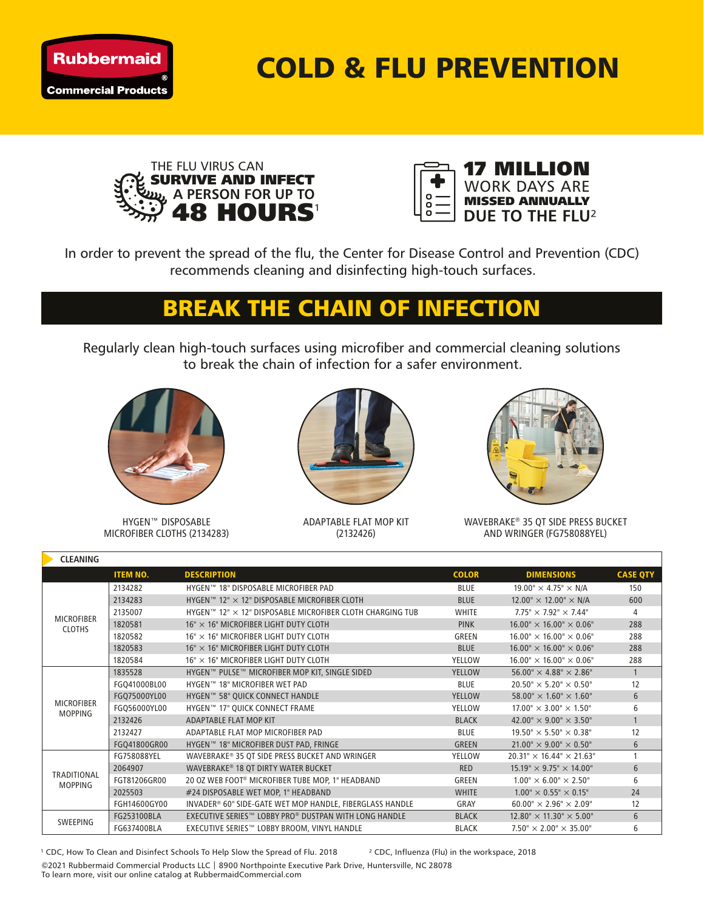

COLD & FLU PREVENTION





In order to prevent the spread of the flu, the Center for Disease Control and Prevention (CDC) recommends cleaning and disinfecting high-touch surfaces.

## BREAK THE CHAIN OF INFECTION

Regularly clean high-touch surfaces using microfiber and commercial cleaning solutions to break the chain of infection for a safer environment.



HYGEN™ DISPOSABLE MICROFIBER CLOTHS (2134283)



ADAPTABLE FLAT MOP KIT (2132426)



WAVEBRAKE® 35 QT SIDE PRESS BUCKET AND WRINGER (FG758088YEL)

| <b>CLEANING</b>                      |                 |                                                           |               |                                        |                 |  |  |  |  |  |
|--------------------------------------|-----------------|-----------------------------------------------------------|---------------|----------------------------------------|-----------------|--|--|--|--|--|
|                                      | <b>ITEM NO.</b> | <b>DESCRIPTION</b>                                        | <b>COLOR</b>  | <b>DIMENSIONS</b>                      | <b>CASE QTY</b> |  |  |  |  |  |
| <b>MICROFIBER</b><br><b>CLOTHS</b>   | 2134282         | HYGEN™ 18" DISPOSABLE MICROFIBER PAD                      | <b>BLUE</b>   | 19.00" $\times$ 4.75" $\times$ N/A     | 150             |  |  |  |  |  |
|                                      | 2134283         | HYGEN™ 12" × 12" DISPOSABLE MICROFIBER CLOTH              | <b>BLUE</b>   | $12.00'' \times 12.00'' \times N/A$    | 600             |  |  |  |  |  |
|                                      | 2135007         | HYGEN™ 12" × 12" DISPOSABLE MICROFIBER CLOTH CHARGING TUB | <b>WHITE</b>  | $7.75" \times 7.92" \times 7.44"$      | 4               |  |  |  |  |  |
|                                      | 1820581         | $16" \times 16"$ MICROFIBER LIGHT DUTY CLOTH              | <b>PINK</b>   | $16.00'' \times 16.00'' \times 0.06''$ | 288             |  |  |  |  |  |
|                                      | 1820582         | $16" \times 16"$ MICROFIBER LIGHT DUTY CLOTH              | GREEN         | $16.00'' \times 16.00'' \times 0.06''$ | 288             |  |  |  |  |  |
|                                      | 1820583         | $16" \times 16"$ MICROFIBER LIGHT DUTY CLOTH              | <b>BLUE</b>   | $16.00'' \times 16.00'' \times 0.06''$ | 288             |  |  |  |  |  |
|                                      | 1820584         | 16" × 16" MICROFIBER LIGHT DUTY CLOTH                     | <b>YELLOW</b> | $16.00'' \times 16.00'' \times 0.06''$ | 288             |  |  |  |  |  |
| <b>MICROFIBER</b><br><b>MOPPING</b>  | 1835528         | HYGEN™ PULSE™ MICROFIBER MOP KIT, SINGLE SIDED            | <b>YELLOW</b> | $56.00'' \times 4.88'' \times 2.86''$  | $\mathbf{1}$    |  |  |  |  |  |
|                                      | FGQ41000BL00    | HYGEN™ 18" MICROFIBER WET PAD                             | <b>BLUE</b>   | $20.50'' \times 5.20'' \times 0.50''$  | 12              |  |  |  |  |  |
|                                      | FGQ75000YL00    | HYGEN™ 58" QUICK CONNECT HANDLE                           | <b>YELLOW</b> | $58.00'' \times 1.60'' \times 1.60''$  | 6               |  |  |  |  |  |
|                                      | FGQ56000YL00    | HYGEN™ 17" QUICK CONNECT FRAME                            | YELLOW        | $17.00'' \times 3.00'' \times 1.50''$  | 6               |  |  |  |  |  |
|                                      | 2132426         | ADAPTABLE FLAT MOP KIT                                    | <b>BLACK</b>  | 42.00" $\times$ 9.00" $\times$ 3.50"   | $\mathbf{1}$    |  |  |  |  |  |
|                                      | 2132427         | ADAPTABLE FLAT MOP MICROFIBER PAD                         | <b>BLUE</b>   | $19.50'' \times 5.50'' \times 0.38''$  | 12              |  |  |  |  |  |
|                                      | FGQ41800GR00    | HYGEN™ 18" MICROFIBER DUST PAD, FRINGE                    | GREEN         | $21.00'' \times 9.00'' \times 0.50''$  | 6               |  |  |  |  |  |
| <b>TRADITIONAL</b><br><b>MOPPING</b> | FG758088YEL     | WAVEBRAKE® 35 QT SIDE PRESS BUCKET AND WRINGER            | <b>YELLOW</b> | $20.31" \times 16.44" \times 21.63"$   | $\mathbf{1}$    |  |  |  |  |  |
|                                      | 2064907         | WAVEBRAKE® 18 OT DIRTY WATER BUCKET                       | <b>RED</b>    | $15.19" \times 9.75" \times 14.00"$    | 6               |  |  |  |  |  |
|                                      | FGT81206GR00    | 20 OZ WEB FOOT® MICROFIBER TUBE MOP, 1" HEADBAND          | GREEN         | $1.00'' \times 6.00'' \times 2.50''$   | 6               |  |  |  |  |  |
|                                      | 2025503         | #24 DISPOSABLE WET MOP, 1" HEADBAND                       | <b>WHITE</b>  | $1.00'' \times 0.55'' \times 0.15''$   | 24              |  |  |  |  |  |
|                                      | FGH14600GY00    | INVADER® 60" SIDE-GATE WET MOP HANDLE, FIBERGLASS HANDLE  | GRAY          | $60.00'' \times 2.96'' \times 2.09''$  | 12              |  |  |  |  |  |
| SWEEPING                             | FG253100BLA     | EXECUTIVE SERIES™ LOBBY PRO® DUSTPAN WITH LONG HANDLE     | <b>BLACK</b>  | $12.80'' \times 11.30'' \times 5.00''$ | 6               |  |  |  |  |  |
|                                      | FG637400BLA     | EXECUTIVE SERIES™ LOBBY BROOM, VINYL HANDLE               | <b>BLACK</b>  | $7.50'' \times 2.00'' \times 35.00''$  | 6               |  |  |  |  |  |

<sup>1</sup> CDC, How To Clean and Disinfect Schools To Help Slow the Spread of Flu. 2018 <sup>2</sup> CDC, Influenza (Flu) in the workspace, 2018 ©2021 Rubbermaid Commercial Products LLC | 8900 Northpointe Executive Park Drive, Huntersville, NC 28078 To learn more, visit our online catalog at RubbermaidCommercial.com